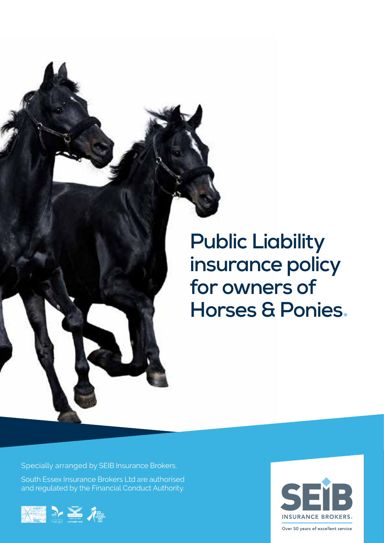

# **Public Liability insurance policy for owners of Horses & Ponies**

Specially arranged by SEIB Insurance Brokers.

South Essex Insurance Brokers Ltd are authorised and regulated by the Financial Conduct Authority.



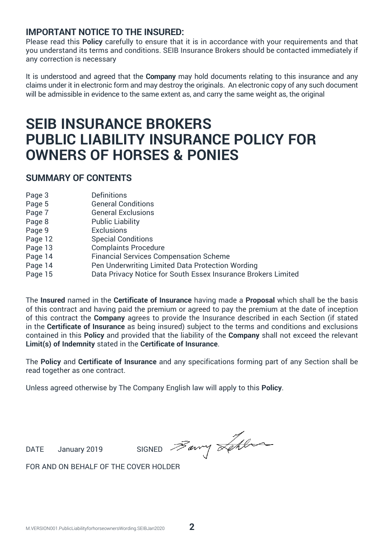## **IMPORTANT NOTICE TO THE INSURED:**

Please read this **Policy** carefully to ensure that it is in accordance with your requirements and that you understand its terms and conditions. SEIB Insurance Brokers should be contacted immediately if any correction is necessary

It is understood and agreed that the **Company** may hold documents relating to this insurance and any claims under it in electronic form and may destroy the originals. An electronic copy of any such document will be admissible in evidence to the same extent as, and carry the same weight as, the original

## **SEIB INSURANCE BROKERS PUBLIC LIABILITY INSURANCE POLICY FOR OWNERS OF HORSES & PONIES**

### **SUMMARY OF CONTENTS**

| Page 3  | Definitions                                                   |
|---------|---------------------------------------------------------------|
| Page 5  | <b>General Conditions</b>                                     |
| Page 7  | <b>General Exclusions</b>                                     |
| Page 8  | <b>Public Liability</b>                                       |
| Page 9  | Exclusions                                                    |
| Page 12 | <b>Special Conditions</b>                                     |
| Page 13 | <b>Complaints Procedure</b>                                   |
| Page 14 | Financial Services Compensation Scheme                        |
| Page 14 | Pen Underwriting Limited Data Protection Wording              |
| Page 15 | Data Privacy Notice for South Essex Insurance Brokers Limited |
|         |                                                               |

The **Insured** named in the **Certificate of Insurance** having made a **Proposal** which shall be the basis of this contract and having paid the premium or agreed to pay the premium at the date of inception of this contract the **Company** agrees to provide the Insurance described in each Section (if stated in the **Certificate of Insurance** as being insured) subject to the terms and conditions and exclusions contained in this **Policy** and provided that the liability of the **Company** shall not exceed the relevant **Limit(s) of Indemnity** stated in the **Certificate of Insurance**.

The **Policy** and **Certificate of Insurance** and any specifications forming part of any Section shall be read together as one contract.

Unless agreed otherwise by The Company English law will apply to this **Policy**.

DATE January 2019 SIGNED  $\overline{\mathscr{B}}$ arry  $\overline{\mathscr{A}}$ 

FOR AND ON BEHALF OF THE COVER HOLDER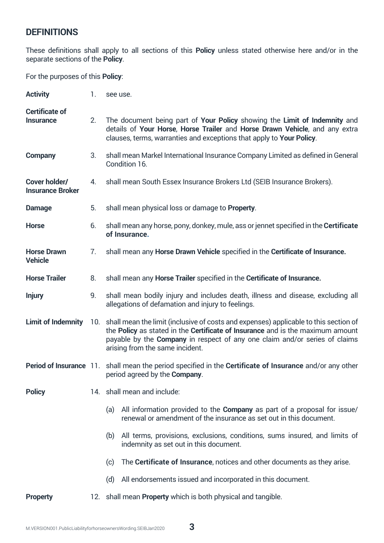## **DEFINITIONS**

These definitions shall apply to all sections of this **Policy** unless stated otherwise here and/or in the separate sections of the **Policy**.

For the purposes of this **Policy**:

| <b>Activity</b>                          | 1.             | see use.                                                                                                                                                                                                                                                                                    |
|------------------------------------------|----------------|---------------------------------------------------------------------------------------------------------------------------------------------------------------------------------------------------------------------------------------------------------------------------------------------|
| <b>Certificate of</b><br>Insurance       | 2 <sub>1</sub> | The document being part of Your Policy showing the Limit of Indemnity and<br>details of Your Horse, Horse Trailer and Horse Drawn Vehicle, and any extra<br>clauses, terms, warranties and exceptions that apply to Your Policy.                                                            |
| Company                                  | 3.             | shall mean Markel International Insurance Company Limited as defined in General<br>Condition 16.                                                                                                                                                                                            |
| Cover holder/<br><b>Insurance Broker</b> | 4.             | shall mean South Essex Insurance Brokers Ltd (SEIB Insurance Brokers).                                                                                                                                                                                                                      |
| Damage                                   | 5.             | shall mean physical loss or damage to Property.                                                                                                                                                                                                                                             |
| <b>Horse</b>                             | 6.             | shall mean any horse, pony, donkey, mule, ass or jennet specified in the Certificate<br>of Insurance.                                                                                                                                                                                       |
| <b>Horse Drawn</b><br><b>Vehicle</b>     | 7.             | shall mean any Horse Drawn Vehicle specified in the Certificate of Insurance.                                                                                                                                                                                                               |
| <b>Horse Trailer</b>                     | 8.             | shall mean any Horse Trailer specified in the Certificate of Insurance.                                                                                                                                                                                                                     |
| <b>Injury</b>                            | 9.             | shall mean bodily injury and includes death, illness and disease, excluding all<br>allegations of defamation and injury to feelings.                                                                                                                                                        |
| <b>Limit of Indemnity</b>                |                | 10. shall mean the limit (inclusive of costs and expenses) applicable to this section of<br>the Policy as stated in the Certificate of Insurance and is the maximum amount<br>payable by the Company in respect of any one claim and/or series of claims<br>arising from the same incident. |
|                                          |                | Period of Insurance 11. shall mean the period specified in the Certificate of Insurance and/or any other<br>period agreed by the Company.                                                                                                                                                   |
| <b>Policy</b>                            |                | 14. shall mean and include:                                                                                                                                                                                                                                                                 |
|                                          |                | (a) All information provided to the <b>Company</b> as part of a proposal for issue/<br>renewal or amendment of the insurance as set out in this document.                                                                                                                                   |
|                                          |                | (b) All terms, provisions, exclusions, conditions, sums insured, and limits of<br>indemnity as set out in this document.                                                                                                                                                                    |
|                                          |                | The Certificate of Insurance, notices and other documents as they arise.<br>(c)                                                                                                                                                                                                             |
|                                          |                | (d) All endorsements issued and incorporated in this document.                                                                                                                                                                                                                              |
| <b>Property</b>                          |                | 12. shall mean Property which is both physical and tangible.                                                                                                                                                                                                                                |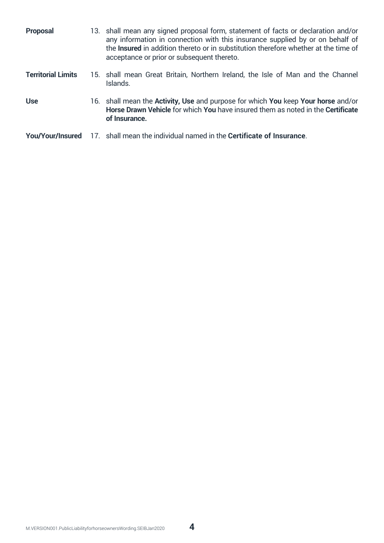| Proposal                  | 13. shall mean any signed proposal form, statement of facts or declaration and/or<br>any information in connection with this insurance supplied by or on behalf of<br>the <b>Insured</b> in addition thereto or in substitution therefore whether at the time of<br>acceptance or prior or subsequent thereto. |
|---------------------------|----------------------------------------------------------------------------------------------------------------------------------------------------------------------------------------------------------------------------------------------------------------------------------------------------------------|
| <b>Territorial Limits</b> | 15. shall mean Great Britain, Northern Ireland, the Isle of Man and the Channel<br>Islands.                                                                                                                                                                                                                    |
| <b>Use</b>                | 16. shall mean the <b>Activity, Use</b> and purpose for which <b>You</b> keep <b>Your horse</b> and/or<br>Horse Drawn Vehicle for which You have insured them as noted in the Certificate<br>of Insurance.                                                                                                     |
| You/Your/Insured          | 17. shall mean the individual named in the Certificate of Insurance.                                                                                                                                                                                                                                           |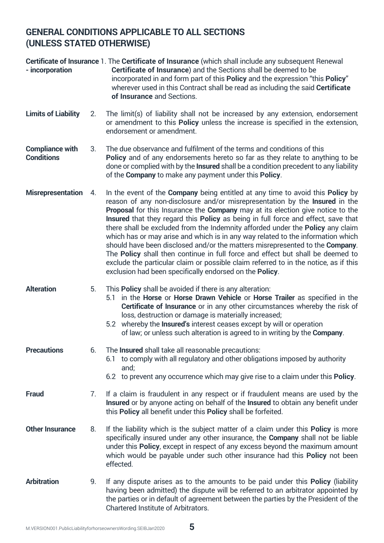## **GENERAL CONDITIONS APPLICABLE TO ALL SECTIONS (UNLESS STATED OTHERWISE)**

| - incorporation                             |    | Certificate of Insurance 1. The Certificate of Insurance (which shall include any subsequent Renewal<br>Certificate of Insurance) and the Sections shall be deemed to be<br>incorporated in and form part of this Policy and the expression "this Policy"<br>wherever used in this Contract shall be read as including the said Certificate<br>of Insurance and Sections.                                                                                                                                                                                                                                                                                                                                                                                                                                                                                   |
|---------------------------------------------|----|-------------------------------------------------------------------------------------------------------------------------------------------------------------------------------------------------------------------------------------------------------------------------------------------------------------------------------------------------------------------------------------------------------------------------------------------------------------------------------------------------------------------------------------------------------------------------------------------------------------------------------------------------------------------------------------------------------------------------------------------------------------------------------------------------------------------------------------------------------------|
| <b>Limits of Liability</b>                  | 2. | The limit(s) of liability shall not be increased by any extension, endorsement<br>or amendment to this <b>Policy</b> unless the increase is specified in the extension,<br>endorsement or amendment.                                                                                                                                                                                                                                                                                                                                                                                                                                                                                                                                                                                                                                                        |
| <b>Compliance with</b><br><b>Conditions</b> | 3. | The due observance and fulfilment of the terms and conditions of this<br>Policy and of any endorsements hereto so far as they relate to anything to be<br>done or complied with by the Insured shall be a condition precedent to any liability<br>of the Company to make any payment under this Policy.                                                                                                                                                                                                                                                                                                                                                                                                                                                                                                                                                     |
| <b>Misrepresentation</b>                    | 4. | In the event of the <b>Company</b> being entitled at any time to avoid this <b>Policy</b> by<br>reason of any non-disclosure and/or misrepresentation by the <b>Insured</b> in the<br>Proposal for this Insurance the Company may at its election give notice to the<br>Insured that they regard this Policy as being in full force and effect, save that<br>there shall be excluded from the Indemnity afforded under the Policy any claim<br>which has or may arise and which is in any way related to the information which<br>should have been disclosed and/or the matters misrepresented to the Company.<br>The Policy shall then continue in full force and effect but shall be deemed to<br>exclude the particular claim or possible claim referred to in the notice, as if this<br>exclusion had been specifically endorsed on the <b>Policy</b> . |
| <b>Alteration</b>                           | 5. | This <b>Policy</b> shall be avoided if there is any alteration:<br>5.1 in the Horse or Horse Drawn Vehicle or Horse Trailer as specified in the<br>Certificate of Insurance or in any other circumstances whereby the risk of<br>loss, destruction or damage is materially increased;<br>5.2 whereby the <b>Insured's</b> interest ceases except by will or operation<br>of law; or unless such alteration is agreed to in writing by the Company.                                                                                                                                                                                                                                                                                                                                                                                                          |
| <b>Precautions</b>                          | 6. | The <b>Insured</b> shall take all reasonable precautions:<br>to comply with all regulatory and other obligations imposed by authority<br>6.1<br>and;<br>6.2 to prevent any occurrence which may give rise to a claim under this <b>Policy</b> .                                                                                                                                                                                                                                                                                                                                                                                                                                                                                                                                                                                                             |
| Fraud                                       | 7. | If a claim is fraudulent in any respect or if fraudulent means are used by the<br>Insured or by anyone acting on behalf of the Insured to obtain any benefit under<br>this Policy all benefit under this Policy shall be forfeited.                                                                                                                                                                                                                                                                                                                                                                                                                                                                                                                                                                                                                         |
| <b>Other Insurance</b>                      | 8. | If the liability which is the subject matter of a claim under this <b>Policy</b> is more<br>specifically insured under any other insurance, the Company shall not be liable<br>under this <b>Policy</b> , except in respect of any excess beyond the maximum amount<br>which would be payable under such other insurance had this <b>Policy</b> not been<br>effected.                                                                                                                                                                                                                                                                                                                                                                                                                                                                                       |
| <b>Arbitration</b>                          | 9. | If any dispute arises as to the amounts to be paid under this Policy (liability<br>having been admitted) the dispute will be referred to an arbitrator appointed by<br>the parties or in default of agreement between the parties by the President of the<br>Chartered Institute of Arbitrators.                                                                                                                                                                                                                                                                                                                                                                                                                                                                                                                                                            |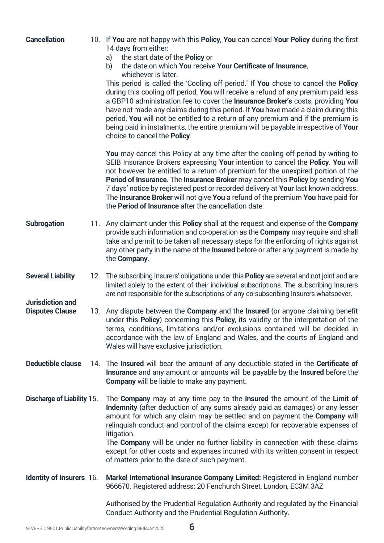| <b>Cancellation</b>                        | 10. If You are not happy with this Policy, You can cancel Your Policy during the first<br>14 days from either:<br>the start date of the Policy or<br>a)<br>the date on which You receive Your Certificate of Insurance,<br>b)<br>whichever is later.<br>This period is called the 'Cooling off period.' If You chose to cancel the Policy<br>during this cooling off period, You will receive a refund of any premium paid less<br>a GBP10 administration fee to cover the Insurance Broker's costs, providing You<br>have not made any claims during this period. If You have made a claim during this<br>period, You will not be entitled to a return of any premium and if the premium is<br>being paid in instalments, the entire premium will be payable irrespective of Your<br>choice to cancel the <b>Policy</b> . |
|--------------------------------------------|----------------------------------------------------------------------------------------------------------------------------------------------------------------------------------------------------------------------------------------------------------------------------------------------------------------------------------------------------------------------------------------------------------------------------------------------------------------------------------------------------------------------------------------------------------------------------------------------------------------------------------------------------------------------------------------------------------------------------------------------------------------------------------------------------------------------------|
|                                            | You may cancel this Policy at any time after the cooling off period by writing to<br>SEIB Insurance Brokers expressing Your intention to cancel the Policy. You will<br>not however be entitled to a return of premium for the unexpired portion of the<br>Period of Insurance. The Insurance Broker may cancel this Policy by sending You<br>7 days' notice by registered post or recorded delivery at Your last known address.<br>The Insurance Broker will not give You a refund of the premium You have paid for<br>the <b>Period of Insurance</b> after the cancellation date.                                                                                                                                                                                                                                        |
| Subrogation                                | 11. Any claimant under this <b>Policy</b> shall at the request and expense of the <b>Company</b><br>provide such information and co-operation as the Company may require and shall<br>take and permit to be taken all necessary steps for the enforcing of rights against<br>any other party in the name of the Insured before or after any payment is made by<br>the Company.                                                                                                                                                                                                                                                                                                                                                                                                                                             |
| <b>Several Liability</b>                   | 12. The subscribing Insurers' obligations under this Policy are several and not joint and are<br>limited solely to the extent of their individual subscriptions. The subscribing Insurers<br>are not responsible for the subscriptions of any co-subscribing Insurers whatsoever.                                                                                                                                                                                                                                                                                                                                                                                                                                                                                                                                          |
| Jurisdiction and<br><b>Disputes Clause</b> | 13. Any dispute between the <b>Company</b> and the Insured (or anyone claiming benefit<br>under this Policy) concerning this Policy, its validity or the interpretation of the<br>terms, conditions, limitations and/or exclusions contained will be decided in<br>accordance with the law of England and Wales, and the courts of England and<br>Wales will have exclusive jurisdiction.                                                                                                                                                                                                                                                                                                                                                                                                                                  |
| Deductible clause                          | 14. The Insured will bear the amount of any deductible stated in the Certificate of<br>Insurance and any amount or amounts will be payable by the Insured before the<br>Company will be liable to make any payment.                                                                                                                                                                                                                                                                                                                                                                                                                                                                                                                                                                                                        |
| Discharge of Liability 15.                 | The Company may at any time pay to the Insured the amount of the Limit of<br>Indemnity (after deduction of any sums already paid as damages) or any lesser<br>amount for which any claim may be settled and on payment the <b>Company</b> will<br>relinquish conduct and control of the claims except for recoverable expenses of<br>litigation.<br>The Company will be under no further liability in connection with these claims<br>except for other costs and expenses incurred with its written consent in respect<br>of matters prior to the date of such payment.                                                                                                                                                                                                                                                    |
| Identity of Insurers 16.                   | Markel International Insurance Company Limited: Registered in England number<br>966670. Registered address: 20 Fenchurch Street, London, EC3M 3AZ                                                                                                                                                                                                                                                                                                                                                                                                                                                                                                                                                                                                                                                                          |
|                                            | Authorised by the Prudential Regulation Authority and regulated by the Financial<br>Conduct Authority and the Prudential Regulation Authority.                                                                                                                                                                                                                                                                                                                                                                                                                                                                                                                                                                                                                                                                             |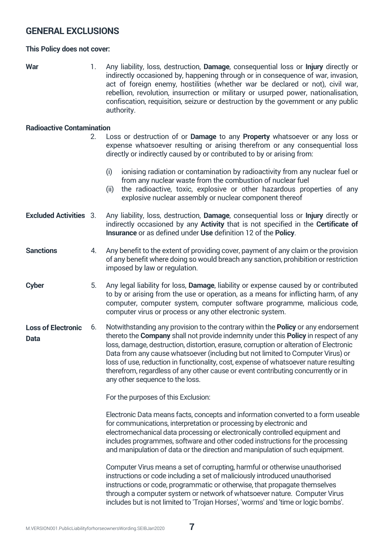## **GENERAL EXCLUSIONS**

#### **This Policy does not cover:**

**War** 1. Any liability, loss, destruction, **Damage**, consequential loss or **Injury** directly or indirectly occasioned by, happening through or in consequence of war, invasion, act of foreign enemy, hostilities (whether war be declared or not), civil war, rebellion, revolution, insurrection or military or usurped power, nationalisation, confiscation, requisition, seizure or destruction by the government or any public authority.

#### **Radioactive Contamination**

2. Loss or destruction of or **Damage** to any **Property** whatsoever or any loss or expense whatsoever resulting or arising therefrom or any consequential loss directly or indirectly caused by or contributed to by or arising from: (i) ionising radiation or contamination by radioactivity from any nuclear fuel or from any nuclear waste from the combustion of nuclear fuel (ii) the radioactive, toxic, explosive or other hazardous properties of any explosive nuclear assembly or nuclear component thereof **Excluded Activities** 3. Any liability, loss, destruction, **Damage**, consequential loss or **Injury** directly or indirectly occasioned by any **Activity** that is not specified in the **Certificate of Insurance** or as defined under **Use** definition 12 of the **Policy**. **Sanctions Cyber** 4. Any benefit to the extent of providing cover, payment of any claim or the provision of any benefit where doing so would breach any sanction, prohibition or restriction imposed by law or regulation. 5. Any legal liability for loss, **Damage**, liability or expense caused by or contributed to by or arising from the use or operation, as a means for inflicting harm, of any computer, computer system, computer software programme, malicious code, computer virus or process or any other electronic system. 6. Notwithstanding any provision to the contrary within the **Policy** or any endorsement thereto the **Company** shall not provide indemnity under this **Policy** in respect of any loss, damage, destruction, distortion, erasure, corruption or alteration of Electronic Data from any cause whatsoever (including but not limited to Computer Virus) or loss of use, reduction in functionality, cost, expense of whatsoever nature resulting therefrom, regardless of any other cause or event contributing concurrently or in any other sequence to the loss. For the purposes of this Exclusion: Electronic Data means facts, concepts and information converted to a form useable for communications, interpretation or processing by electronic and electromechanical data processing or electronically controlled equipment and includes programmes, software and other coded instructions for the processing and manipulation of data or the direction and manipulation of such equipment. Computer Virus means a set of corrupting, harmful or otherwise unauthorised instructions or code including a set of maliciously introduced unauthorised instructions or code, programmatic or otherwise, that propagate themselves **Loss of Electronic Data**

through a computer system or network of whatsoever nature. Computer Virus includes but is not limited to 'Trojan Horses', 'worms' and 'time or logic bombs'.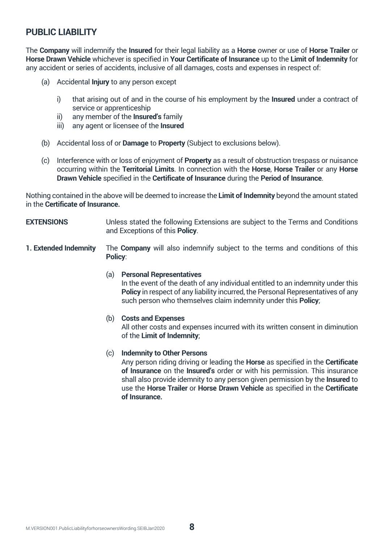## **PUBLIC LIABILITY**

The **Company** will indemnify the **Insured** for their legal liability as a **Horse** owner or use of **Horse Trailer** or **Horse Drawn Vehicle** whichever is specified in **Your Certificate of Insurance** up to the **Limit of Indemnity** for any accident or series of accidents, inclusive of all damages, costs and expenses in respect of:

- (a) Accidental **Injury** to any person except
	- i) that arising out of and in the course of his employment by the **Insured** under a contract of service or apprenticeship
	- ii) any member of the **Insured's** family
	- iii) any agent or licensee of the **Insured**
- (b) Accidental loss of or **Damage** to **Property** (Subject to exclusions below).
- (c) Interference with or loss of enjoyment of **Property** as a result of obstruction trespass or nuisance occurring within the **Territorial Limits**. In connection with the **Horse**, **Horse Trailer** or any **Horse Drawn Vehicle** specified in the **Certificate of Insurance** during the **Period of Insurance**.

Nothing contained in the above will be deemed to increase the **Limit of Indemnity** beyond the amount stated in the **Certificate of Insurance.**

- **EXTENSIONS** Unless stated the following Extensions are subject to the Terms and Conditions and Exceptions of this **Policy**.
- **1. Extended Indemnity** The **Company** will also indemnify subject to the terms and conditions of this **Policy**:

#### (a) **Personal Representatives**

In the event of the death of any individual entitled to an indemnity under this **Policy** in respect of any liability incurred, the Personal Representatives of any such person who themselves claim indemnity under this **Policy**;

#### (b) **Costs and Expenses**

All other costs and expenses incurred with its written consent in diminution of the **Limit of Indemnity**;

#### (c) **Indemnity to Other Persons**

Any person riding driving or leading the **Horse** as specified in the **Certificate of Insurance** on the **Insured's** order or with his permission. This insurance shall also provide idemnity to any person given permission by the **Insured** to use the **Horse Trailer** or **Horse Drawn Vehicle** as specified in the **Certificate of Insurance.**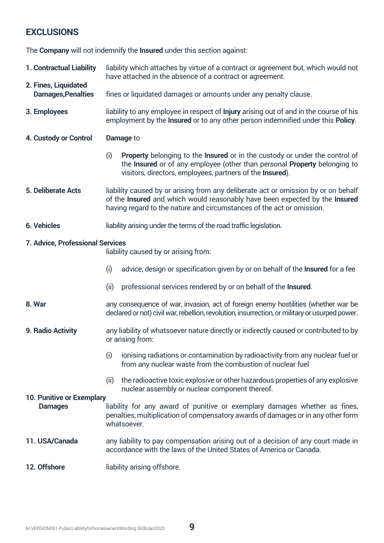## **EXCLUSIONS**

The **Company** will not indemnify the **Insured** under this section against:

- **1. Contractual Liability** liability which attaches by virtue of a contract or agreement but, which would not have attached in the absence of a contract or agreement.
- **2. Fines, Liquidated** fines or liquidated damages or amounts under any penalty clause.
- **3. Employees** liability to any employee in respect of **Injury** arising out of and in the course of his employment by the **Insured** or to any other person indemnified under this **Policy**.
- **4. Custody or Control Damage** to
	- (i) **Property** belonging to the **Insured** or in the custody or under the control of the **Insured** or of any employee (other than personal **Property** belonging to visitors, directors, employees, partners of the **Insured**).
- **5. Deliberate Acts** liability caused by or arising from any deliberate act or omission by or on behalf of the **Insured** and which would reasonably have been expected by the **Insured** having regard to the nature and circumstances of the act or omission.
- **6. Vehicles** liability arising under the terms of the road traffic legislation.

#### **7. Advice, Professional Services**

liability caused by or arising from:

- (i) advice, design or specification given by or on behalf of the **Insured** for a fee
- (ii) professional services rendered by or on behalf of the **Insured**.
- **8. War** any consequence of war, invasion, act of foreign enemy hostilities (whether war be declared or not) civil war, rebellion, revolution, insurrection, or military or usurped power.
- **9. Radio Activity** any liability of whatsoever nature directly or indirectly caused or contributed to by or arising from:
	- (i) ionising radiations or contamination by radioactivity from any nuclear fuel or from any nuclear waste from the combustion of nuclear fuel
	- (ii) the radioactive toxic explosive or other hazardous properties of any explosive nuclear assembly or nuclear component thereof.

#### **10. Punitive or Exemplary**

- **Damages** liability for any award of punitive or exemplary damages whether as fines, penalties, multiplication of compensatory awards of damages or in any other form whatsoever.
- **11. USA/Canada** any liability to pay compensation arising out of a decision of any court made in accordance with the laws of the United States of America or Canada.
- **12. Offshore** liability arising offshore.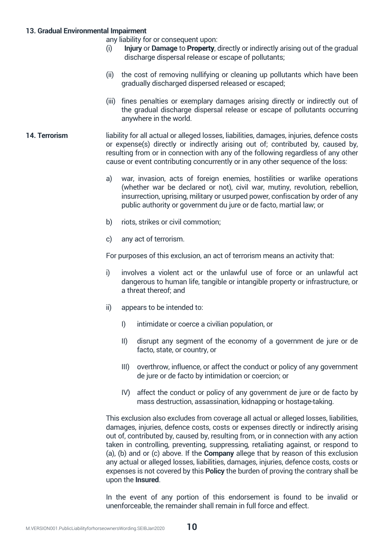#### **13. Gradual Environmental Impairment**

any liability for or consequent upon:

- Injury or Damage to Property, directly or indirectly arising out of the gradual discharge dispersal release or escape of pollutants;
- (ii) the cost of removing nullifying or cleaning up pollutants which have been gradually discharged dispersed released or escaped;
- (iii) fines penalties or exemplary damages arising directly or indirectly out of the gradual discharge dispersal release or escape of pollutants occurring anywhere in the world.
- **14. Terrorism** liability for all actual or alleged losses, liabilities, damages, injuries, defence costs or expense(s) directly or indirectly arising out of; contributed by, caused by, resulting from or in connection with any of the following regardless of any other cause or event contributing concurrently or in any other sequence of the loss:
	- a) war, invasion, acts of foreign enemies, hostilities or warlike operations (whether war be declared or not), civil war, mutiny, revolution, rebellion, insurrection, uprising, military or usurped power, confiscation by order of any public authority or government du jure or de facto, martial law; or
	- b) riots, strikes or civil commotion;
	- c) any act of terrorism.

For purposes of this exclusion, an act of terrorism means an activity that:

- i) involves a violent act or the unlawful use of force or an unlawful act dangerous to human life, tangible or intangible property or infrastructure, or a threat thereof; and
- ii) appears to be intended to:
	- I) intimidate or coerce a civilian population, or
	- II) disrupt any segment of the economy of a government de jure or de facto, state, or country, or
	- III) overthrow, influence, or affect the conduct or policy of any government de jure or de facto by intimidation or coercion; or
	- IV) affect the conduct or policy of any government de jure or de facto by mass destruction, assassination, kidnapping or hostage-taking.

This exclusion also excludes from coverage all actual or alleged losses, liabilities, damages, injuries, defence costs, costs or expenses directly or indirectly arising out of, contributed by, caused by, resulting from, or in connection with any action taken in controlling, preventing, suppressing, retaliating against, or respond to (a), (b) and or (c) above. If the **Company** allege that by reason of this exclusion any actual or alleged losses, liabilities, damages, injuries, defence costs, costs or expenses is not covered by this **Policy** the burden of proving the contrary shall be upon the **Insured**.

In the event of any portion of this endorsement is found to be invalid or unenforceable, the remainder shall remain in full force and effect.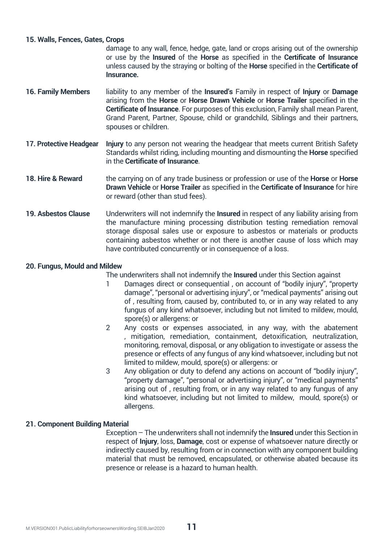#### **15. Walls, Fences, Gates, Crops**

damage to any wall, fence, hedge, gate, land or crops arising out of the ownership or use by the **Insured** of the **Horse** as specified in the **Certificate of Insurance** unless caused by the straying or bolting of the **Horse** specified in the **Certificate of Insurance.**

- **16. Family Members** liability to any member of the **Insured's** Family in respect of **Injury** or **Damage** arising from the **Horse** or **Horse Drawn Vehicle** or **Horse Trailer** specified in the **Certificate of Insurance**. For purposes of this exclusion, Family shall mean Parent, Grand Parent, Partner, Spouse, child or grandchild, Siblings and their partners, spouses or children.
- **17. Protective Headgear Injury** to any person not wearing the headgear that meets current British Safety Standards whilst riding, including mounting and dismounting the **Horse** specified in the **Certificate of Insurance**.
- **18. Hire & Reward** the carrying on of any trade business or profession or use of the **Horse** or **Horse Drawn Vehicle** or **Horse Trailer** as specified in the **Certificate of Insurance** for hire or reward (other than stud fees).
- **19. Asbestos Clause** Underwriters will not indemnify the **Insured** in respect of any liability arising from the manufacture mining processing distribution testing remediation removal storage disposal sales use or exposure to asbestos or materials or products containing asbestos whether or not there is another cause of loss which may have contributed concurrently or in consequence of a loss.

#### **20. Fungus, Mould and Mildew**

The underwriters shall not indemnify the **Insured** under this Section against

- 1 Damages direct or consequential , on account of "bodily injury", "property damage", "personal or advertising injury", or "medical payments" arising out of , resulting from, caused by, contributed to, or in any way related to any fungus of any kind whatsoever, including but not limited to mildew, mould, spore(s) or allergens: or
- 2 Any costs or expenses associated, in any way, with the abatement , mitigation, remediation, containment, detoxification, neutralization, monitoring, removal, disposal, or any obligation to investigate or assess the presence or effects of any fungus of any kind whatsoever, including but not limited to mildew, mould, spore(s) or allergens: or
- 3 Any obligation or duty to defend any actions on account of "bodily injury", "property damage", "personal or advertising injury", or "medical payments" arising out of , resulting from, or in any way related to any fungus of any kind whatsoever, including but not limited to mildew, mould, spore(s) or allergens.

#### **21. Component Building Material**

Exception – The underwriters shall not indemnify the **Insured** under this Section in respect of **Injury**, loss, **Damage**, cost or expense of whatsoever nature directly or indirectly caused by, resulting from or in connection with any component building material that must be removed, encapsulated, or otherwise abated because its presence or release is a hazard to human health.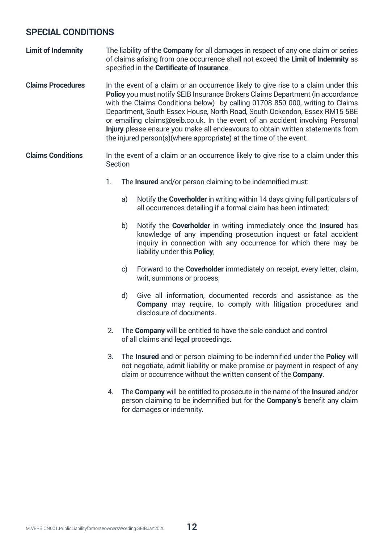## **SPECIAL CONDITIONS**

- **Limit of Indemnity** The liability of the **Company** for all damages in respect of any one claim or series of claims arising from one occurrence shall not exceed the **Limit of Indemnity** as specified in the **Certificate of Insurance**.
- **Claims Procedures** In the event of a claim or an occurrence likely to give rise to a claim under this **Policy** you must notify SEIB Insurance Brokers Claims Department (in accordance with the Claims Conditions below) by calling 01708 850 000, writing to Claims Department, South Essex House, North Road, South Ockendon, Essex RM15 5BE or emailing claims@seib.co.uk. In the event of an accident involving Personal **Injury** please ensure you make all endeavours to obtain written statements from the injured person(s)(where appropriate) at the time of the event.
- **Claims Conditions** In the event of a claim or an occurrence likely to give rise to a claim under this Section
	- 1. The **Insured** and/or person claiming to be indemnified must:
		- a) Notify the **Coverholder** in writing within 14 days giving full particulars of all occurrences detailing if a formal claim has been intimated;
		- b) Notify the **Coverholder** in writing immediately once the **Insured** has knowledge of any impending prosecution inquest or fatal accident inquiry in connection with any occurrence for which there may be liability under this **Policy**;
		- c) Forward to the **Coverholder** immediately on receipt, every letter, claim, writ, summons or process;
		- d) Give all information, documented records and assistance as the **Company** may require, to comply with litigation procedures and disclosure of documents.
	- 2. The **Company** will be entitled to have the sole conduct and control of all claims and legal proceedings.
	- 3. The **Insured** and or person claiming to be indemnified under the **Policy** will not negotiate, admit liability or make promise or payment in respect of any claim or occurrence without the written consent of the **Company**.
	- 4. The **Company** will be entitled to prosecute in the name of the **Insured** and/or person claiming to be indemnified but for the **Company's** benefit any claim for damages or indemnity.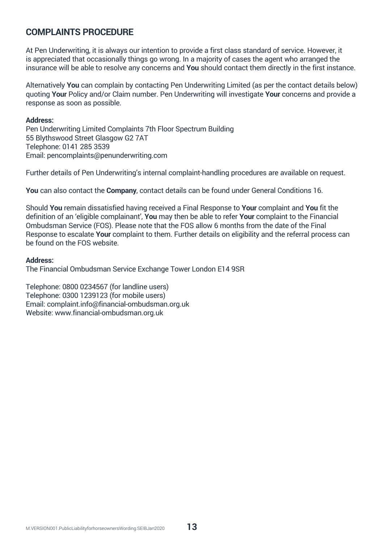## **COMPLAINTS PROCEDURE**

At Pen Underwriting, it is always our intention to provide a first class standard of service. However, it is appreciated that occasionally things go wrong. In a majority of cases the agent who arranged the insurance will be able to resolve any concerns and **You** should contact them directly in the first instance.

Alternatively **You** can complain by contacting Pen Underwriting Limited (as per the contact details below) quoting **Your** Policy and/or Claim number. Pen Underwriting will investigate **Your** concerns and provide a response as soon as possible.

#### **Address:**

Pen Underwriting Limited Complaints 7th Floor Spectrum Building 55 Blythswood Street Glasgow G2 7AT Telephone: 0141 285 3539 Email: pencomplaints@penunderwriting.com

Further details of Pen Underwriting's internal complaint-handling procedures are available on request.

**You** can also contact the **Company**, contact details can be found under General Conditions 16.

Should **You** remain dissatisfied having received a Final Response to **Your** complaint and **You** fit the definition of an 'eligible complainant', **You** may then be able to refer **Your** complaint to the Financial Ombudsman Service (FOS). Please note that the FOS allow 6 months from the date of the Final Response to escalate **Your** complaint to them. Further details on eligibility and the referral process can be found on the FOS website.

#### **Address:**

The Financial Ombudsman Service Exchange Tower London E14 9SR

Telephone: 0800 0234567 (for landline users) Telephone: 0300 1239123 (for mobile users) Email: complaint.info@financial-ombudsman.org.uk Website: www.financial-ombudsman.org.uk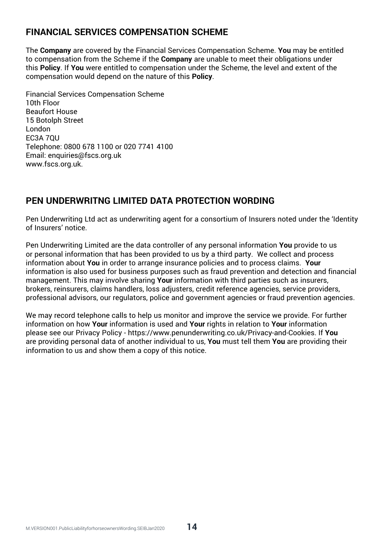## **FINANCIAL SERVICES COMPENSATION SCHEME**

The **Company** are covered by the Financial Services Compensation Scheme. **You** may be entitled to compensation from the Scheme if the **Company** are unable to meet their obligations under this **Policy**. If **You** were entitled to compensation under the Scheme, the level and extent of the compensation would depend on the nature of this **Policy**.

Financial Services Compensation Scheme 10th Floor Beaufort House 15 Botolph Street London EC3A 7QU Telephone: 0800 678 1100 or 020 7741 4100 Email: enquiries@fscs.org.uk www.fscs.org.uk.

## **PEN UNDERWRITNG LIMITED DATA PROTECTION WORDING**

Pen Underwriting Ltd act as underwriting agent for a consortium of Insurers noted under the 'Identity of Insurers' notice.

Pen Underwriting Limited are the data controller of any personal information **You** provide to us or personal information that has been provided to us by a third party. We collect and process information about **You** in order to arrange insurance policies and to process claims. **Your** information is also used for business purposes such as fraud prevention and detection and financial management. This may involve sharing **Your** information with third parties such as insurers, brokers, reinsurers, claims handlers, loss adjusters, credit reference agencies, service providers, professional advisors, our regulators, police and government agencies or fraud prevention agencies.

We may record telephone calls to help us monitor and improve the service we provide. For further information on how **Your** information is used and **Your** rights in relation to **Your** information please see our Privacy Policy - https://www.penunderwriting.co.uk/Privacy-and-Cookies. If **You** are providing personal data of another individual to us, **You** must tell them **You** are providing their information to us and show them a copy of this notice.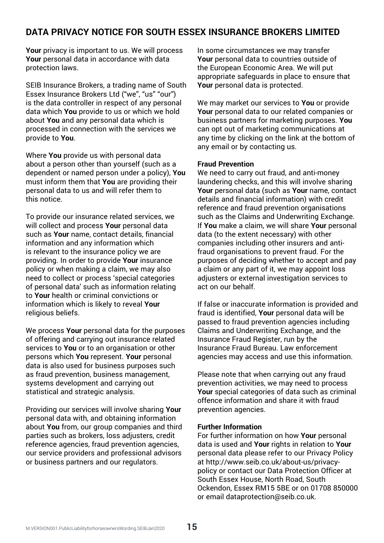## **DATA PRIVACY NOTICE FOR SOUTH ESSEX INSURANCE BROKERS LIMITED**

**Your** privacy is important to us. We will process **Your** personal data in accordance with data protection laws.

SEIB Insurance Brokers, a trading name of South Essex Insurance Brokers Ltd ("we", "us" "our") is the data controller in respect of any personal data which **You** provide to us or which we hold about **You** and any personal data which is processed in connection with the services we provide to **You**.

Where **You** provide us with personal data about a person other than yourself (such as a dependent or named person under a policy), **You** must inform them that **You** are providing their personal data to us and will refer them to this notice.

To provide our insurance related services, we will collect and process **Your** personal data such as **Your** name, contact details, financial information and any information which is relevant to the insurance policy we are providing. In order to provide **Your** insurance policy or when making a claim, we may also need to collect or process 'special categories of personal data' such as information relating to **Your** health or criminal convictions or information which is likely to reveal **Your** religious beliefs.

We process **Your** personal data for the purposes of offering and carrying out insurance related services to **You** or to an organisation or other persons which **You** represent. **Your** personal data is also used for business purposes such as fraud prevention, business management, systems development and carrying out statistical and strategic analysis.

Providing our services will involve sharing **Your** personal data with, and obtaining information about **You** from, our group companies and third parties such as brokers, loss adjusters, credit reference agencies, fraud prevention agencies, our service providers and professional advisors or business partners and our regulators.

In some circumstances we may transfer **Your** personal data to countries outside of the European Economic Area. We will put appropriate safeguards in place to ensure that **Your** personal data is protected.

We may market our services to **You** or provide **Your** personal data to our related companies or business partners for marketing purposes. **You** can opt out of marketing communications at any time by clicking on the link at the bottom of any email or by contacting us.

#### **Fraud Prevention**

We need to carry out fraud, and anti-money laundering checks, and this will involve sharing **Your** personal data (such as **Your** name, contact details and financial information) with credit reference and fraud prevention organisations such as the Claims and Underwriting Exchange. If **You** make a claim, we will share **Your** personal data (to the extent necessary) with other companies including other insurers and antifraud organisations to prevent fraud. For the purposes of deciding whether to accept and pay a claim or any part of it, we may appoint loss adjusters or external investigation services to act on our behalf.

If false or inaccurate information is provided and fraud is identified, **Your** personal data will be passed to fraud prevention agencies including Claims and Underwriting Exchange, and the Insurance Fraud Register, run by the Insurance Fraud Bureau. Law enforcement agencies may access and use this information.

Please note that when carrying out any fraud prevention activities, we may need to process **Your** special categories of data such as criminal offence information and share it with fraud prevention agencies.

#### **Further Information**

For further information on how **Your** personal data is used and **Your** rights in relation to **Your** personal data please refer to our Privacy Policy at http://www.seib.co.uk/about-us/privacypolicy or contact our Data Protection Officer at South Essex House, North Road, South Ockendon, Essex RM15 5BE or on 01708 850000 or email dataprotection@seib.co.uk.